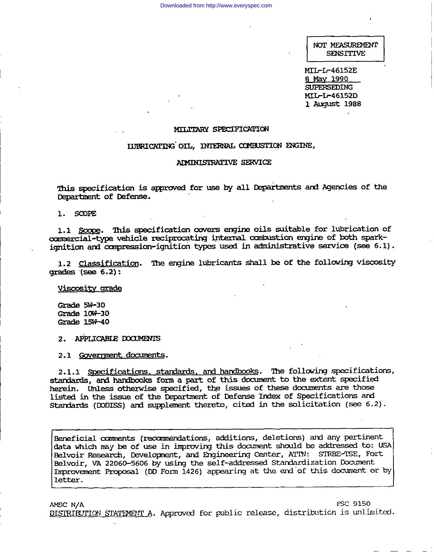NOT MEASUREMENT **SENSITIVE** 

MTI-L-46152E 8 May 1990 SUPERSEDING MIL-L-46152D 1 August 1988

### MILTTARY SPECIFICATION

### IUBRICATING OIL, INTERNAL COMBUSTION ENGINE,

### ADMINISTRATIVE SERVICE

This specification is approved for use by all Departments and Agencies of the Department of Defense.

1. SCOPE

1.1 Scope. This specification covers engine oils suitable for lubrication of commercial-type vehicle reciprocating internal combustion engine of both sparkignition and compression-ignition types used in administrative service (see 6.1).

1.2 Classification. The engine lubricants shall be of the following viscosity  $arades$  (see  $6.2$ ):

Viscosity grade

 $Grade$   $5W-30$  $Grade$   $10W-30$ Grade 15W-40

2. APPLICABLE DOCUMENTS

2.1 Government documents.

2.1.1 Specifications, standards, and handbooks. The following specifications, standards, and handbooks form a part of this document to the extent specified herein. Unless otherwise specified, the issues of these documents are those listed in the issue of the Department of Defense Index of Specifications and Standards (DODISS) and supplement thereto, cited in the solicitation (see 6.2).

Beneficial comments (recommendations, additions, deletions) and any pertinent data which may be of use in improving this document should be addressed to: USA Belvoir Research, Development, and Engineering Center, ATTN: STRBE-TSE, Fort Belvoir, VA 22060-5606 by using the self-addressed Standardization Document Improvement Proposal (DD Form 1426) appearing at the end of this document or by letter.

**FSC 9150** AMSC N/A DISTRIBUTION STATEMENT A. Approved for public release, distribution is unlimited.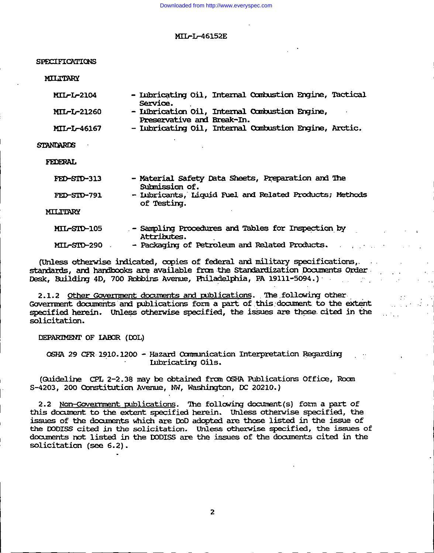SPECIFICATIONS

**MILITARY** 

| <b>MIL-L-2104</b>  | - Iubricating Oil, Internal Combustion Engine, Tactical |  |  |
|--------------------|---------------------------------------------------------|--|--|
|                    | Service.                                                |  |  |
| <b>MIL-L-21260</b> | - Lubrication Oil, Internal Combustion Engine,          |  |  |
|                    | Preservative and Break-In.                              |  |  |

- Iubricating Oil, Internal Combustion Engine, Arctic. MIL-L-46167

**STANDARDS** 

**FEDERAL** 

| FED-SID-313     | - Material Safety Data Sheets, Preparation and The<br>Submission of.   |
|-----------------|------------------------------------------------------------------------|
| FED-STD-791     | - Iubricants, Liquid Fuel and Related Products; Methods<br>of Testing. |
| <b>MILITARY</b> |                                                                        |
| MIL-SID-105     | - Sampling Procedures and Tables for Inspection by<br>Attributes.      |
| MIL-SID-290     | - Packaging of Petroleum and Related Products.                         |

(Unless otherwise indicated, copies of federal and military specifications,.  $\sim$  100  $\sim$ standards, and handbooks are available from the Standardization Documents Order Desk, Building 4D, 700 Robbins Avenue, Philadelphia, PA 19111-5094.)

 $\mathcal{L}_{\text{max}}$ 

e andre de la posta de la política<br>En la política de la política

2.1.2 Other Government documents and publications. The following other Government documents and publications form a part of this document to the extent specified herein. Unless otherwise specified, the issues are those cited in the solicitation.

DEPARIMENT OF LABOR (DOL)

OSHA 29 CFR 1910.1200 - Hazard Communication Interpretation Regarding **Lubricating Oils.** 

(Guideline CPL 2-2.38 may be obtained from OSHA Publications Office, Room S-4203, 200 Constitution Avenue, NW, Washington, DC 20210.)

2.2 Non-Government publications. The following document(s) form a part of this document to the extent specified herein. Unless otherwise specified, the issues of the documents which are DoD adopted are those listed in the issue of the DODISS cited in the solicitation. Unless otherwise specified, the issues of documents not listed in the DODISS are the issues of the documents cited in the solicitation (see 6.2).

 $\overline{2}$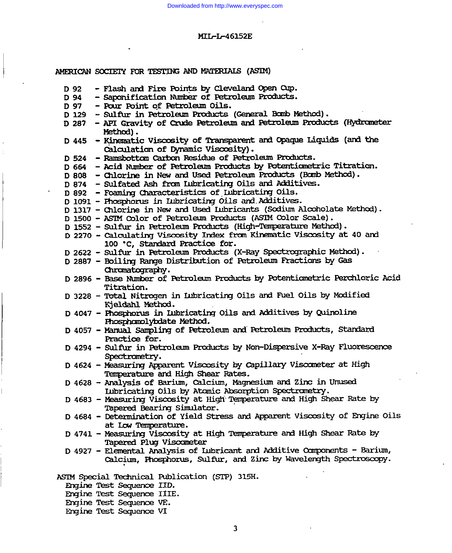| AMERICAN SOCIETY FOR TESTING AND MATERIALS (ASIM)                                                         |
|-----------------------------------------------------------------------------------------------------------|
| - Flash and Fire Points by Cleveland Open Oup.<br>D 92                                                    |
| - Saponification Number of Petroleum Products.<br>D 94                                                    |
| - Pour Point of Petroleum Oils.<br>D 97                                                                   |
| - Sulfur in Petroleum Products (General Bomb Method).<br>D 129                                            |
| - API Gravity of Crude Petroleum and Petroleum Products (Hydrometer<br>D 287<br>Method).                  |
| - Kinematic Viscosity of Transparent and Opaque Liquids (and the<br>D 445                                 |
| Calculation of Dynamic Viscosity).                                                                        |
| D 524 - Ramsbottom Carbon Residue of Petroleum Products.                                                  |
| D 664 - Acid Number of Petroleum Products by Potentiometric Titration.                                    |
| D 808 - Chlorine in New and Used Petroleum Products (Bomb Method).                                        |
| D 874 - Sulfated Ash from Lubricating Oils and Additives.                                                 |
| D 892 - Foaming Characteristics of Iubricating Oils.                                                      |
| D 1091 - Phosphorus in Lubricating Oils and Additives.                                                    |
| D 1317 - Chlorine in New and Used Lubricants (Sodium Alcoholate Method).                                  |
| D 1500 - ASTM Color of Petroleum Products (ASTM Color Scale).                                             |
| D 1552 - Sulfur in Petroleum Products (High-Temperature Method).                                          |
| D 2270 - Calculating Viscosity Index from Kinematic Viscosity at 40 and<br>100 °C. Standard Practice for. |
| D 2622 - Sulfur in Petroleum Products (X-Ray Spectrographic Method).                                      |
| D 2887 - Boiling Range Distribution of Petroleum Fractions by Gas                                         |
| Chromatography.                                                                                           |
| D 2896 - Base Number of Petroleum Products by Potentiometric Perchloric Acid                              |
| <b>Titration.</b>                                                                                         |
| D 3228 - Total Nitrogen in Lubricating Oils and Fuel Oils by Modified                                     |
| Kjeldahl Method.                                                                                          |
| D 4047 - Phosphorus in Lubricating Oils and Additives by Quinoline                                        |
| Phosphomolybdate Method.                                                                                  |
| D 4057 - Manual Sampling of Petroleum and Petroleum Products, Standard                                    |
| Practice for.                                                                                             |
| D 4294 - Sulfur in Petroleum Products by Non-Dispersive X-Ray Fluorescence                                |
| Spectrometry.                                                                                             |
| D 4624 - Measuring Apparent Viscosity by Capillary Viscometer at High                                     |
| Temperature and High Shear Rates.                                                                         |
| D 4628 - Analysis of Barium, Calcium, Magnesium and Zinc in Unused                                        |
|                                                                                                           |
| Iubricating Oils by Atomic Absorption Spectrometry.                                                       |
| D 4683 - Measuring Viscosity at High Temperature and High Shear Rate by                                   |
| Tapered Bearing Simulator.                                                                                |
| D 4684 - Determination of Yield Stress and Apparent Viscosity of Engine Oils                              |
| at Low Temperature.                                                                                       |
| D 4741 - Measuring Viscosity at High Temperature and High Shear Rate by                                   |
| Tapered Plug Viscometer                                                                                   |
| D 4927 - Elemental Analysis of Lubricant and Additive Components - Barium,                                |
| Calcium, Phosphorus, Sulfur, and Zinc by Wavelength Spectroscopy.                                         |
|                                                                                                           |
| ASIM Special Technical Publication (STP) 315H.                                                            |
| Engine Test Sequence IID.                                                                                 |

Engine Test Sequence IIIE.<br>Engine Test Sequence VE.<br>Engine Test Sequence VI.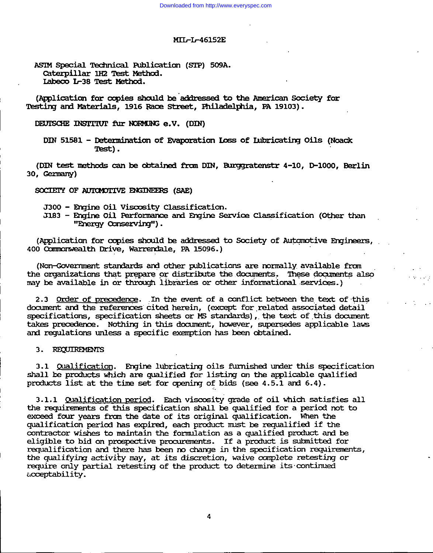ASIM Special Technical Publication (STP) 509A. Caterpillar 1H2 Test Method. Labeco L-38 Test Method.

(Application for copies should be addressed to the American Society for Testing and Materials, 1916 Race Street, Philadelphia, PA 19103).

DEUTSCHE INSTITUT fur NORMUNG e.V. (DIN)

(DIN test methods can be obtained from DIN, Burggratenstr 4-10, D-1000, Berlin 30, Germany)

SOCIETY OF AUTOMOTIVE ENGINEERS (SAE)

J300 - Engine Oil Viscosity Classification.

J183 - Engine Oil Performance and Engine Service Classification (Other than "Energy Conserving").

(Application for copies should be addressed to Society of Automotive Engineers, 400 Commonwealth Drive, Warrendale, PA 15096.)

(Non-Government standards and other publications are normally available from the organizations that prepare or distribute the documents. These documents also may be available in or through libraries or other informational services.)

2.3 Order of precedence. In the event of a conflict between the text of this document and the references cited herein, (except for related associated detail specifications, specification sheets or MS standards), the text of this document takes precedence. Nothing in this document, however, supersedes applicable laws and requlations unless a specific exemption has been obtained.

### 3. REQUIREMENTS

3.1 Qualification. Engine lubricating oils furnished under this specification shall be products which are qualified for listing on the applicable qualified products list at the time set for opening of bids (see 4.5.1 and 6.4).

3.1.1 Qualification period. Each viscosity grade of oil which satisfies all the requirements of this specification shall be qualified for a period not to exceed four years from the date of its original qualification. When the qualification period has expired, each product must be requalified if the contractor wishes to maintain the formulation as a qualified product and be eligible to bid on prospective procurements. If a product is submitted for requalification and there has been no change in the specification requirements. the qualifying activity may, at its discretion, waive complete retesting or require only partial retesting of the product to determine its continued acceptability.

DIN 51581 - Determination of Evaporation Loss of Lubricating Oils (Noack Test).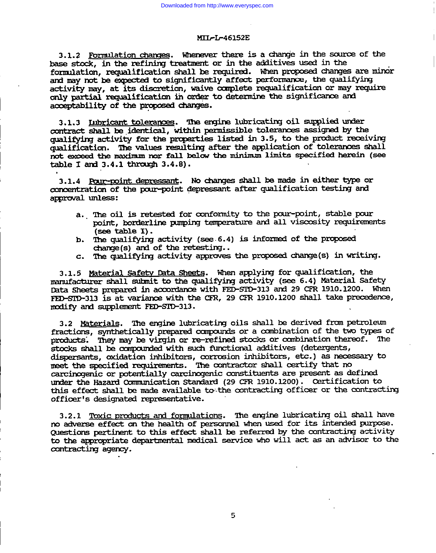3.1.2 Formulation changes. Whenever there is a change in the source of the base stock, in the refining treatment or in the additives used in the formulation, requalification shall be required. When proposed changes are minor and may not be expected to significantly affect performance, the qualifying activity may, at its discretion, waive complete requalification or may require only partial requalification in order to determine the significance and acceptability of the proposed changes.

3.1.3 Inbrigant tolerances. The engine lubricating oil supplied under contract shall be identical, within permissible tolerances assigned by the qualifying activity for the properties listed in 3.5, to the product receiving qualification. The values resulting after the application of tolerances shall not exceed the maximum nor fall below the minimum limits specified herein (see table I and  $3.4.1$  through  $3.4.8$ ).

3.1.4 Pour-point depressant. No changes shall be made in either type or concentration of the pour-point depressant after qualification testing and approval unless:

- a. The oil is retested for conformity to the pour-point, stable pour point, borderline pumping temperature and all viscosity requirements (see table  $I$ ).
- b. The qualifying activity (see 6.4) is informed of the proposed change(s) and of the retesting..
- c. The qualifying activity approves the proposed change(s) in writing.

3.1.5 Material Safety Data Sheets. When applying for qualification, the manufacturer shall submit to the qualifying activity (see 6.4) Material Safety Data Sheets prepared in accordance with FED-SID-313 and 29 CFR 1910.1200. When FED-STD-313 is at variance with the CFR, 29 CFR 1910.1200 shall take precedence, modify and supplement FED-SID-313.

3.2 Materials. The engine lubricating oils shall be derived from petroleum fractions, synthetically prepared compounds or a combination of the two types of products. They may be virgin or re-refined stocks or combination thereof. The stocks shall be compounded with such functional additives (detergents, dispersants, oxidation inhibitors, corrosion inhibitors, etc.) as necessary to meet the specified requirements. The contractor shall certify that no carcinogenic or potentially carcinogenic constituents are present as defined under the Hazard Communication Standard (29 CFR 1910.1200). Certification to this effect shall be made available to the contracting officer or the contracting officer's designated representative.

3.2.1 Toxic products and formulations. The engine lubricating oil shall have no adverse effect on the health of personnel when used for its intended purpose. Questions pertinent to this effect shall be referred by the contracting activity to the appropriate departmental medical service who will act as an advisor to the contracting agency.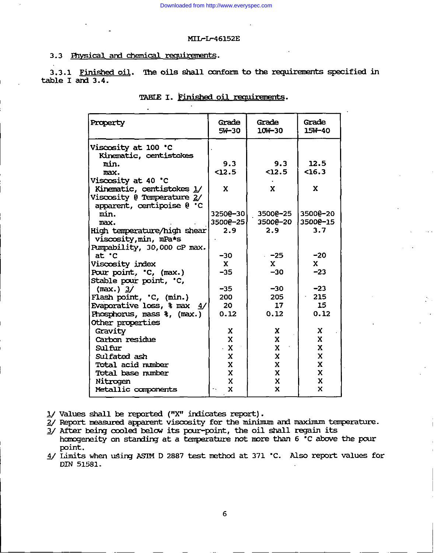### 3.3 Physical and chemical requirements.

3.3.1 Finished oil. The oils shall conform to the requirements specified in table I and 3.4.

| Property                                                   | Grade<br>$5W-30$ | Grade<br>10W-30 | Grade<br>15W-40 |
|------------------------------------------------------------|------------------|-----------------|-----------------|
| Viscosity at 100 °C                                        |                  |                 |                 |
| Kinematic, centistokes                                     |                  |                 |                 |
| min.                                                       | 9.3              | 9.3             | 12.5            |
| max.                                                       | 12.5             | $12.5$          | $16.3$          |
| Viscosity at 40 °C                                         |                  |                 |                 |
| Kinematic, centistokes 1/                                  | x                | X               | x               |
| Viscosity @ Temperature 2/<br>apparent, centipoise $0$ . C |                  |                 |                 |
| min.                                                       | 32500-30         | 35000-25        | 35000-20        |
| max.                                                       | 35000-25         | 35000-20        | 35000-15        |
| High temperature/high shear                                | 2.9              | 2.9             | 3.7             |
| viscosity, min, mPa*s                                      |                  |                 |                 |
| Pumpability, 30,000 cP max.                                |                  |                 |                 |
| $at$ $\cdot c$                                             | $-30$            | $-25$           | $-20$           |
| Viscosity index                                            | $\mathbf{x}$     | $\mathbf{x}$    | $\mathbf{x}$    |
| Pour point, 'C, (max.)                                     | $-35$            | $-30$           | $-23$           |
| Stable pour point, 'C,                                     |                  |                 |                 |
| (max.) 3/                                                  | $-35$            | $-30$           | $-23$           |
| Flash point, 'C, (min.)                                    | 200              | 205             | 215             |
| Evaporative loss, % max 4/                                 | 20               | 17              | 15              |
| Phosphorus, mass %, (max.)                                 | 0.12             | 0.12            | 0.12            |
| Other properties                                           |                  |                 |                 |
| Gravity                                                    | X                | X               | X               |
| Carbon residue                                             | $\mathbf{x}$     | X               | X               |
| Sulfur                                                     | $\mathbf{X}$     | X               | X               |
| Sulfated ash                                               | $\mathbf x$      | $\mathbf x$     | $\mathbf x$     |
| Total acid number                                          | $\mathbf x$      | $\mathbf x$     | X               |
| Total base number                                          | $\mathbf{x}$     | X               | X               |
| Nitrogen                                                   | X                | X               | $\mathbf x$     |
| Metallic components                                        | X                | X               | X               |

|  |  | TABLE I. Finished oil requirements. |  |
|--|--|-------------------------------------|--|
|--|--|-------------------------------------|--|

1/ Values shall be reported ("X" indicates report).

- 2/ Report measured apparent viscosity for the minimum and maximum temperature.
- $\frac{1}{2}$ / After being cooled below its pour-point, the oil shall regain its
- homogeneity on standing at a temperature not more than 6 °C above the pour point.
- 4/ Limits when using ASIM D 2887 test method at 371 °C. Also report values for DIN 51581.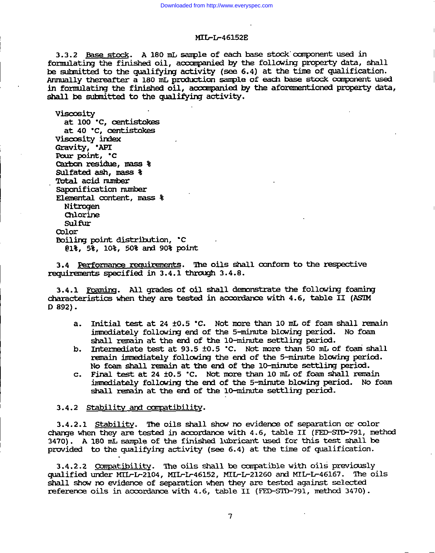3.3.2 Base stock. A 180 mL sample of each base stock component used in formulating the finished oil, accompanied by the following property data, shall be submitted to the qualifying activity (see 6.4) at the time of qualification. Annually thereafter a 180 mL production sample of each base stock component used in formulating the finished oil, accompanied by the aforementioned property data, shall be submitted to the qualifying activity.

Viscosity

at 100 °C, centistokes at 40 °C, centistokes Viscosity index Gravity, 'API Pour point, 'C Carbon residue, mass & Sulfated ash, mass & Total acid mmber Saponification number Elemental content, mass % **Nitrogen** Chlorine Sulfur Color Boiling point distribution, .C 01%, 5%, 10%, 50% and 90% point

3.4 Performance requirements. The oils shall conform to the respective requirements specified in 3.4.1 through 3.4.8.

3.4.1 Foaming. All grades of oil shall demonstrate the following foaming characteristics when they are tested in accordance with 4.6, table II (ASIM)  $D 892$ ).

- Initial test at 24 ±0.5 °C. Not more than 10 mL of foam shall remain a. immediately following end of the 5-minute blowing period. No foam shall remain at the end of the 10-minute settling period.
- Intermediate test at 93.5 ±0.5 °C. Not more than 50 mL of foam shall b. remain immediately following the end of the 5-minute blowing period. No foam shall remain at the end of the 10-minute settling period.
- Final test at 24 ±0.5 °C. Not more than 10 mL of foam shall remain  $\mathbf{c}$ . immediately following the end of the 5-minute blowing period. No foam shall remain at the end of the 10-minute settling period.

### 3.4.2 Stability and compatibility.

3.4.2.1 Stability. The oils shall show no evidence of separation or color change when they are tested in accordance with 4.6, table II (FED-SID-791, method 3470). A 180 mL sample of the finished lubricant used for this test shall be provided to the qualifying activity (see 6.4) at the time of qualification.

3.4.2.2 Compatibility. The oils shall be compatible with oils previously qualified under MIL-L-2104, MIL-L-46152, MIL-L-21260 and MIL-L-46167. The oils shall show no evidence of separation when they are tested against selected reference oils in accordance with 4.6, table II (FED-SID-791, method 3470).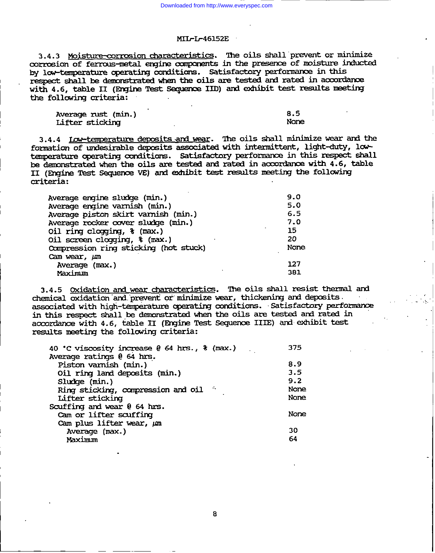3.4.3 Moisture-corrosion characteristics. The oils shall prevent or minimize corrosion of ferrous-metal engine components in the presence of moisture inducted by low-temperature operating conditions. Satisfactory performance in this respect shall be demonstrated when the oils are tested and rated in accordance with 4.6, table II (Engine Test Sequence IID) and exhibit test results meeting the following criteria:

Average rust (min.) Lifter sticking

 $8.5$ None

3.4.4 <u>Low-temperature deposits and wear</u>. The oils shall minimize wear and the formation of undesirable deposits associated with intermittent, light-duty, lowtemperature operating conditions. Satisfactory performance in this respect shall be demonstrated when the oils are tested and rated in accordance with 4.6, table II (Engine Test Sequence VE) and exhibit test results meeting the following criteria:

| Average engine sludge (min.)            | 9.0  |
|-----------------------------------------|------|
| Average engine varnish (min.)           | 5.0  |
| Average piston skirt varnish (min.)     | 6.5  |
| Average rocker cover sludge (min.)      | 7.0  |
| Oil ring clogging, $\frac{1}{2}$ (max.) | 15   |
| Oil screen clogging, % (max.)           | 20   |
| Compression ring sticking (hot stuck)   | None |
| Cam wear, um                            |      |
| Average (max.)                          | 127  |
| Maximum                                 | 381  |

3.4.5 Oxidation and wear characteristics. The oils shall resist thermal and chemical oxidation and prevent or minimize wear, thickening and deposits.  $\sim 10^{-1}$ associated with high-temperature operating conditions. Satisfactory performance in this respect shall be demonstrated when the oils are tested and rated in accordance with 4.6, table II (Engine Test Sequence IIIE) and exhibit test results meeting the following criteria:

| 40 °C viscosity increase @ 64 hrs., \$ (max.) | 375  |
|-----------------------------------------------|------|
|                                               |      |
|                                               | 8.9  |
|                                               | 3.5  |
|                                               | 9.2  |
| - 44                                          | None |
|                                               | None |
|                                               |      |
|                                               | None |
|                                               |      |
|                                               | 30   |
|                                               | 64   |
|                                               |      |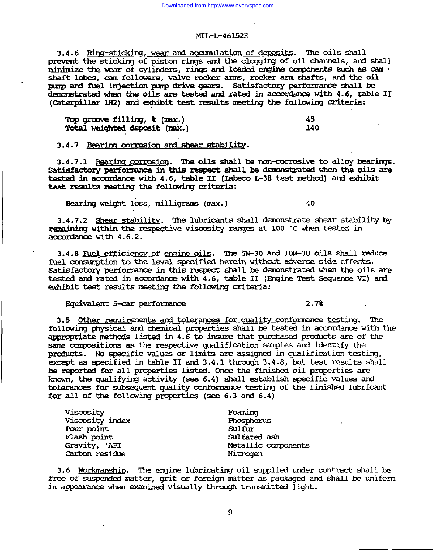3.4.6 Ring-sticking, wear and accumulation of deposits. The oils shall prevent the sticking of piston rings and the clogging of oil channels, and shall minimize the wear of cylinders, rings and loaded engine components such as cam shaft lobes, cam followers, valve rocker arms, rocker arm shafts, and the oil pump and fuel injection pump drive gears. Satisfactory performance shall be demonstrated when the oils are tested and rated in accordance with 4.6, table II (Caterpillar 1H2) and exhibit test results meeting the following criteria:

| Top groove filling, $\frac{1}{2}$ (max.) | 45  |
|------------------------------------------|-----|
| Total weighted deposit (max.)            | 140 |

3.4.7 Bearing corrosion and shear stability.

3.4.7.1 Bearing corrosion. The oils shall be non-corrosive to alloy bearings. Satisfactory performance in this respect shall be demonstrated when the oils are tested in accordance with 4.6, table II (Labeco L-38 test method) and exhibit test results meeting the following criteria:

Bearing weight loss, milligrams (max.)

3.4.7.2 Shear stability. The lubricants shall demonstrate shear stability by remaining within the respective viscosity ranges at 100 °C when tested in  $a$ ccordance with  $4.6.2$ .

3.4.8 Fuel efficiency of engine oils. The 5W-30 and 10W-30 oils shall reduce fuel consumption to the level specified herein without adverse side effects. Satisfactory performance in this respect shall be demonstrated when the oils are tested and rated in accordance with 4.6, table II (Engine Test Sequence VI) and exhibit test results meeting the following criteria:

### Equivalent 5-car performance

 $2.7<sub>3</sub>$ 

40

3.5 Other requirements and tolerances for quality conformance testing. The following physical and chemical properties shall be tested in accordance with the appropriate methods listed in 4.6 to insure that purchased products are of the same compositions as the respective qualification samples and identify the products. No specific values or limits are assigned in qualification testing, except as specified in table II and 3.4.1 through 3.4.8, but test results shall be reported for all properties listed. Once the finished oil properties are known, the qualifying activity (see 6.4) shall establish specific values and tolerances for subsequent quality conformance testing of the finished lubricant for all of the following properties (see 6.3 and  $6.4$ )

| Viscosity       | Foaming             |
|-----------------|---------------------|
| Viscosity index | Phosphorus          |
| Pour point      | Sulfur              |
| Flash point     | Sulfated ash        |
| Gravity, 'API   | Metallic components |
| Carbon residue  | Nitmaen             |

3.6 Workmanship. The engine lubricating oil supplied under contract shall be free of suspended matter, grit or foreign matter as packaged and shall be uniform in appearance when examined visually through transmitted light.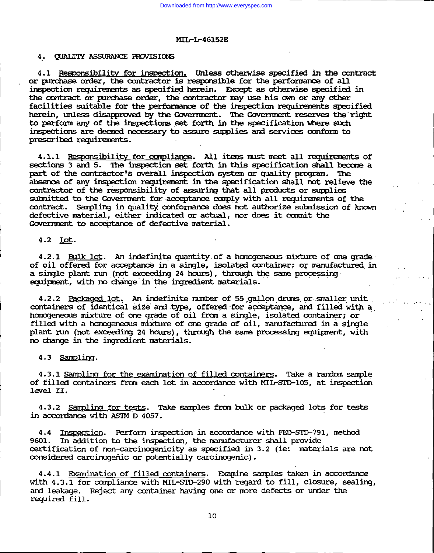### 4. QUALITY ASSURANCE PROVISIONS

4.1 Responsibility for inspection. Unless otherwise specified in the contract or purchase order, the contractor is responsible for the performance of all inspection requirements as specified herein. Except as otherwise specified in the contract or purchase order, the contractor may use his own or any other facilities suitable for the performance of the inspection requirements specified herein, unless disapproved by the Government. The Government reserves the right to perform any of the inspections set forth in the specification where such inspections are deemed necessary to assure supplies and services conform to prescribed requirements.

4.1.1 Responsibility for compliance. All items must meet all requirements of sections 3 and 5. The inspection set forth in this specification shall become a part of the contractor's overall inspection system or quality program. The absence of any inspection requirement in the specification shall not relieve the contractor of the responsibility of assuring that all products or supplies submitted to the Government for acceptance comply with all requirements of the contract. Sampling in quality conformance does not authorize submission of known defective material, either indicated or actual, nor does it commit the Government to acceptance of defective material.

### 4.2 Lot.

4.2.1 Bulk lot. An indefinite quantity of a homogeneous mixture of one grade of oil offered for acceptance in a single, isolated container; or manufactured in a single plant run (not exceeding 24 hours), through the same processing equipment, with no change in the ingredient materials.

4.2.2 Packaged lot. An indefinite number of 55 gallon drums or smaller unit containers of identical size and type, offered for acceptance, and filled with a homogeneous mixture of one grade of oil from a single, isolated container; or filled with a homogeneous mixture of one grade of oil, manufactured in a single plant run (not exceeding 24 hours), through the same processing equipment, with no change in the ingredient materials.

### 4.3 Sampling.

4.3.1 Sampling for the examination of filled containers. Take a random sample of filled containers from each lot in accordance with MIL-STD-105, at inspection level II.

4.3.2 Sampling for tests. Take samples from bulk or packaged lots for tests in accordance with ASTM D 4057.

4.4 Inspection. Perform inspection in accordance with FED-STD-791, method 9601. In addition to the inspection, the manufacturer shall provide certification of non-carcinogenicity as specified in 3.2 (ie: materials are not considered carcinogenic or potentially carcinogenic).

4.4.1 Examination of filled containers. Examine samples taken in accordance with 4.3.1 for compliance with MIL-SID-290 with regard to fill, closure, sealing, and leakage. Reject any container having one or more defects or under the required fill.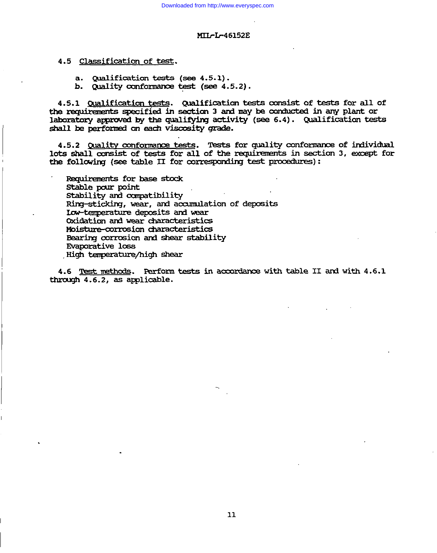- 4.5 Classification of test.
	- a. Qualification tests (see 4.5.1).
	- b. Quality conformance test (see 4.5.2).

4.5.1 Qualification tests. Qualification tests consist of tests for all of the requirements specified in section 3 and may be conducted in any plant or laboratory approved by the qualifying activity (see 6.4). Qualification tests shall be performed on each viscosity grade.

4.5.2 Quality conformance tests. Tests for quality conformance of individual lots shall consist of tests for all of the requirements in section 3, except for the following (see table II for corresponding test procedures):

Requirements for base stock Stable pour point Stability and compatibility Ring-sticking, wear, and accumulation of deposits Low-temperature deposits and wear Oxidation and wear characteristics Moisture-corrosion characteristics Bearing corrosion and shear stability **Evaporative loss** High temperature/high shear

4.6 Test methods. Perform tests in accordance with table II and with 4.6.1 through 4.6.2, as applicable.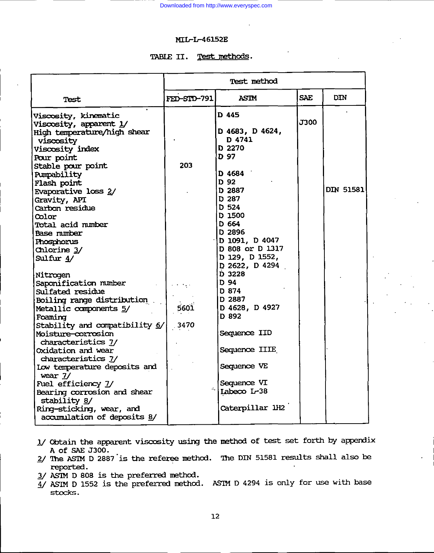## TABLE II. Test methods.

|                                                                                                                       |             | Test method               |            |            |
|-----------------------------------------------------------------------------------------------------------------------|-------------|---------------------------|------------|------------|
| Test                                                                                                                  | FED-SID-791 | <b>ASIM</b>               | <b>SAE</b> | <b>DIN</b> |
| Viscosity, kinematic                                                                                                  |             | D 445                     |            |            |
| Viscosity, apparent 1/                                                                                                |             |                           | J300       |            |
| High temperature/high shear                                                                                           |             | D 4683, D 4624,           |            |            |
| <b>viscosity</b>                                                                                                      |             | D 4741                    |            |            |
| Viscosity index                                                                                                       |             | D 2270                    |            |            |
| Pour point                                                                                                            |             | D 97                      |            |            |
| Stable pour point                                                                                                     | 203         |                           |            |            |
| Pumpability                                                                                                           |             | D 4684                    |            |            |
| Flash point                                                                                                           |             | D 92                      |            |            |
| <b>Evaporative loss 2/</b>                                                                                            |             | D 2887                    |            | DIN 51581  |
| Gravity, API                                                                                                          |             | D 287                     |            |            |
| Carbon residue                                                                                                        |             | D 524                     |            |            |
| <b>Color</b>                                                                                                          |             | D 1500                    |            |            |
| Total acid number                                                                                                     |             | D 664                     |            |            |
| Base mimber                                                                                                           |             | D 2896                    |            |            |
| Phosphorus                                                                                                            |             | D 1091, D 4047            |            |            |
| Chlorine 3/                                                                                                           |             | D 808 or D 1317           |            |            |
| Sulfur $4/$                                                                                                           |             | D 129, D 1552,            |            |            |
|                                                                                                                       |             | $D$ 2622, D 4294          |            |            |
| Nitrogen                                                                                                              |             | D 3228                    |            |            |
| Saponification number                                                                                                 |             | D 94                      |            |            |
| <b>Sulfated residue</b>                                                                                               |             | D 874                     |            |            |
| <b>Boiling range distribution and reading the set of the set of the set of the set of the set of the set of the s</b> |             | D 2887                    |            |            |
| Metallic components 5/                                                                                                | 5601        | D 4628, D 4927            |            |            |
| Foaming                                                                                                               |             | D 892                     |            |            |
| Stability and compatibility 6/                                                                                        | .3470       |                           |            |            |
| Moisture-corrosion                                                                                                    |             | Sequence IID              |            |            |
| characteristics 7/                                                                                                    |             |                           |            |            |
| Oxidation and wear                                                                                                    |             | Sequence IIIE             |            |            |
| characteristics 7/                                                                                                    |             |                           |            |            |
| Low temperature deposits and                                                                                          |             | Sequence VE               |            |            |
| wear $1/$                                                                                                             |             | Sequence VI               |            |            |
| Fuel efficiency 1/                                                                                                    |             | $\frac{1}{2}$ Labeco L-38 |            |            |
| Bearing corrosion and shear                                                                                           |             |                           |            |            |
| stability 8/                                                                                                          |             | Caterpillar 1H2           |            |            |
| Ring-sticking, wear, and                                                                                              |             |                           |            |            |
| accumulation of deposits 8/                                                                                           |             |                           |            |            |

- 1/ Obtain the apparent viscosity using the method of test set forth by appendix A of SAE J300.
- 2/ The ASTM D 2887 is the referee method. The DIN 51581 results shall also be reported.
- 3/ ASTM D 808 is the preferred method.
- $\overline{4}$ / ASIM D 1552 is the preferred method. ASIM D 4294 is only for use with base stocks.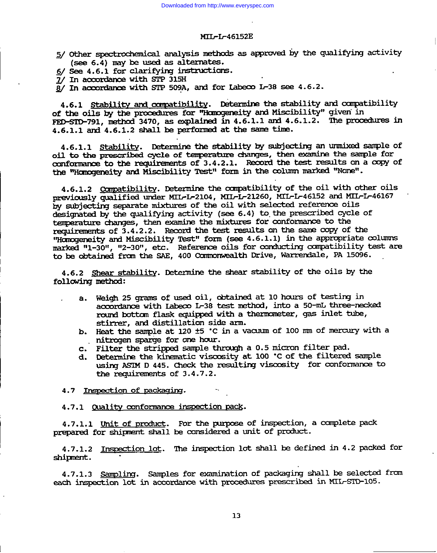#### MII-I-46152E

5/ Other spectrochemical analysis methods as approved by the qualifying activity (see 6.4) may be used as alternates.

6/ See 4.6.1 for clarifying instructions.

7/ In accordance with STP 315H

 $\overline{8}$ / In accordance with STP 509A, and for Labeco L-38 see 4.6.2.

4.6.1 Stability and compatibility. Determine the stability and compatibility of the oils by the procedures for "Homogeneity and Miscibility" given in FED-STD-791, method 3470, as explained in 4.6.1.1 and 4.6.1.2. The procedures in  $4.6.1.1$  and  $4.6.1.2$  shall be performed at the same time.

4.6.1.1 Stability. Determine the stability by subjecting an unmixed sample of oil to the prescribed cycle of temperature changes, then examine the sample for conformance to the requirements of 3.4.2.1. Record the test results on a copy of the "Homogeneity and Miscibility Test" form in the column marked "None".

4.6.1.2 Compatibility. Determine the compatibility of the oil with other oils previously qualified under MIL-L-2104, MIL-L-21260, MIL-L-46152 and MIL-L-46167 by subjecting separate mixtures of the oil with selected reference oils designated by the qualifying activity (see 6.4) to the prescribed cycle of temperature changes, then examine the mixtures for conformance to the requirements of 3.4.2.2. Record the test results on the same copy of the "Homogeneity and Miscibility Test" form (see 4.6.1.1) in the appropriate columns marked "1-30", "2-30", etc. Reference oils for conducting compatibility test are to be obtained from the SAE, 400 Commonwealth Drive, Warrendale, PA 15096.

4.6.2 Shear stability. Determine the shear stability of the oils by the following method:

- a. Weigh 25 grams of used oil, obtained at 10 hours of testing in accordance with Labeco L-38 test method, into a 50-mL three-necked round bottom flask equipped with a thermometer, gas inlet tube, stirrer, and distillation side arm.
- b. Heat the sample at 120 ±5 °C in a vacuum of 100 mm of mercury with a nitrogen sparge for one hour.
- c. Filter the stripped sample through a 0.5 micron filter pad.
- d. Determine the kinematic viscosity at 100 °C of the filtered sample using ASTM D 445. Check the resulting viscosity for conformance to the requirements of 3.4.7.2.

4.7 Inspection of packaging.

4.7.1 Quality conformance inspection pack.

4.7.1.1 Unit of product. For the purpose of inspection, a complete pack prepared for shipment shall be considered a unit of product.

4.7.1.2 Inspection lot. The inspection lot shall be defined in 4.2 packed for shipment.

4.7.1.3 Sampling. Samples for examination of packaging shall be selected from each inspection lot in accordance with procedures prescribed in MIL-SID-105.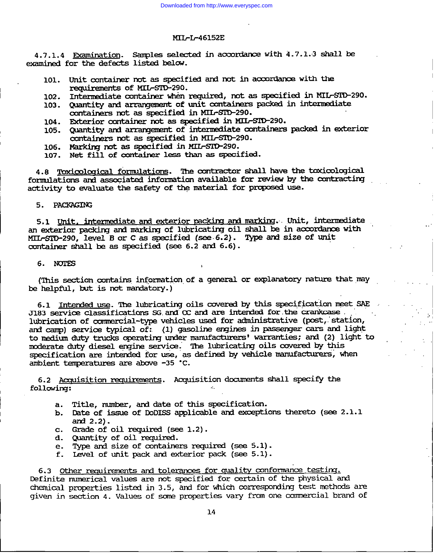4.7.1.4 Examination. Samples selected in accordance with 4.7.1.3 shall be examined for the defects listed below.

- 101. Unit container not as specified and not in accordance with the requirements of MIL-SID-290.
- Intermediate container when required, not as specified in MIL-STD-290. 102.
- 103. Quantity and arrangement of unit containers packed in intermediate containers not as specified in MIL-SID-290.
- 104. Exterior container not as specified in MIL-SID-290.
- 105. Quantity and arrangement of intermediate containers packed in exterior containers not as specified in MIL-SID-290.
- 106. Marking not as specified in MIL-SID-290.
- 107. Net fill of container less than as specified.

4.8 Toxicological formulations. The contractor shall have the toxicological formulations and associated information available for review by the contracting activity to evaluate the safety of the material for proposed use.

### 5. PACKAGING

5.1 Unit, intermediate and exterior packing and marking. Unit, intermediate an exterior packing and marking of lubricating oil shall be in accordance with MIL-SID-290, level B or C as specified (see 6.2). Type and size of unit container shall be as specified (see 6.2 and 6.6).

#### 6. NOTES

(This section contains information of a general or explanatory nature that may be helpful, but is not mandatory.)

6.1 Intended use. The lubricating oils covered by this specification meet SAE  $J183$  service classifications SG and  $C$  and are intended for the crankcase lubrication of commercial-type vehicles used for administrative (post, station, and camp) service typical of: (1) gasoline engines in passenger cars and light to medium duty trucks operating under manufacturers' warranties; and (2) light to moderate duty diesel engine service. The lubricating oils covered by this specification are intended for use, as defined by vehicle manufacturers, when ambient temperatures are above -35 °C.

6.2 Acquisition requirements. Acquisition documents shall specify the following:

- a. Title, mumber, and date of this specification.
- b. Date of issue of DoDISS applicable and exceptions thereto (see 2.1.1 and  $2.2$ ).
- c. Grade of oil required (see 1.2).
- d. Quantity of oil required.
- e. Type and size of containers required (see 5.1).
- f. Level of unit pack and exterior pack (see 5.1).

6.3 Other requirements and tolerances for quality conformance testing. Definite numerical values are not specified for certain of the physical and chemical properties listed in 3.5, and for which corresponding test methods are given in section 4. Values of some properties vary from one commercial brand of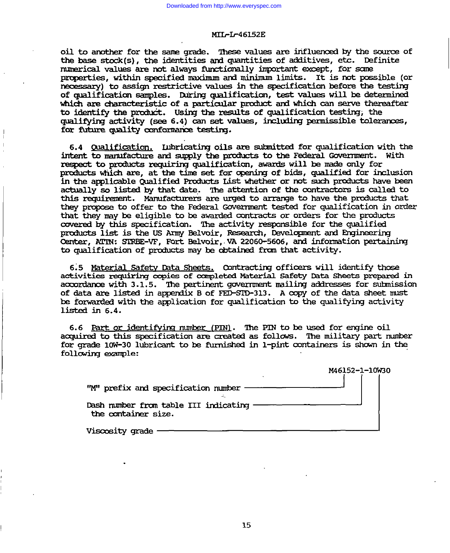oil to another for the same grade. These values are influenced by the source of the base stock(s), the identities and quantities of additives, etc. Definite mimerical values are not always functionally important except, for some properties, within specified maximum and minimum limits. It is not possible (or necessary) to assign restrictive values in the specification before the testing of qualification samples. During qualification, test values will be determined which are characteristic of a particular product and which can serve thereafter to identify the product. Using the results of qualification testing, the qualifying activity (see 6.4) can set values, including permissible tolerances, for future quality conformance testing.

6.4 Qualification. Inbricating oils are submitted for qualification with the intent to manufacture and supply the products to the Federal Government. With respect to products requiring qualification, awards will be made only for products which are, at the time set for opening of bids, qualified for inclusion in the applicable Qualified Products List whether or not such products have been actually so listed by that date. The attention of the contractors is called to this requirement. Manufacturers are urged to arrange to have the products that they propose to offer to the Federal Government tested for qualification in order that they may be eligible to be awarded contracts or orders for the products covered by this specification. The activity responsible for the qualified products list is the US Army Belvoir, Research, Development and Engineering Center, ATIN: STREE-VF, Fort Belvoir, VA 22060-5606, and information pertaining to qualification of products may be obtained from that activity.

6.5 Material Safety Data Sheets. Contracting officers will identify those activities requiring copies of completed Material Safety Data Sheets prepared in accordance with 3.1.5. The pertinent government mailing addresses for submission of data are listed in appendix B of FED-SID-313. A copy of the data sheet must be forwarded with the application for qualification to the qualifying activity listed in 6.4.

6.6 Part or identifying mumber (PIN). The PIN to be used for engine oil acquired to this specification are created as follows. The military part number for grade 10W-30 lubricant to be furnished in 1-pint containers is shown in the following example:

|                                                              | M46152-1-10W30 |
|--------------------------------------------------------------|----------------|
| "M" prefix and specification number                          |                |
| Dash number from table III indicating<br>the container size. |                |
| Viscosity grade                                              |                |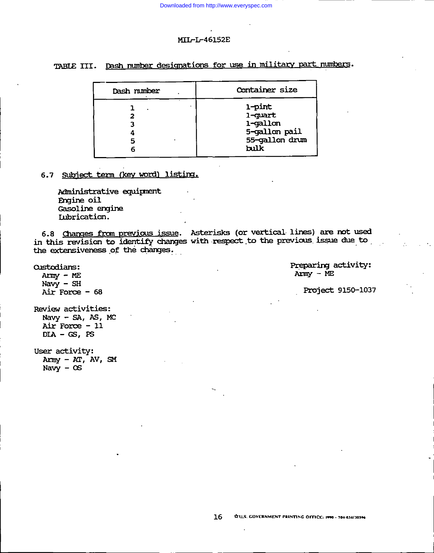Downloaded from http://www.everyspec.com

### MIL-L-46152E

# TABLE III. Dash number designations for use in military part numbers.

| Dash number | Container size                                                           |  |
|-------------|--------------------------------------------------------------------------|--|
|             | 1-pint<br>1-quart<br>1-gallon<br>5-gallon pail<br>55-gallon drum<br>bulk |  |

# 6.7 Subject term (key word) listing.

Administrative equipment Engine oil Gasoline engine Lubrication.

6.8 Changes from previous issue. Asterisks (or vertical lines) are not used in this revision to identify changes with respect to the previous issue due to the extensiveness of the changes.

> Preparing activity:  $A\text{rms}$  – ME

Project 9150-1037

Navy  $-$  SH Air Force  $-68$ Review activities: Navy - SA, AS, MC

**Custodians:** 

 $Array - ME$ 

Air Force - 11  $DIA - CS$ , PS

User activity:  $Array - AT, AV, SM$ Navy  $-$  OS